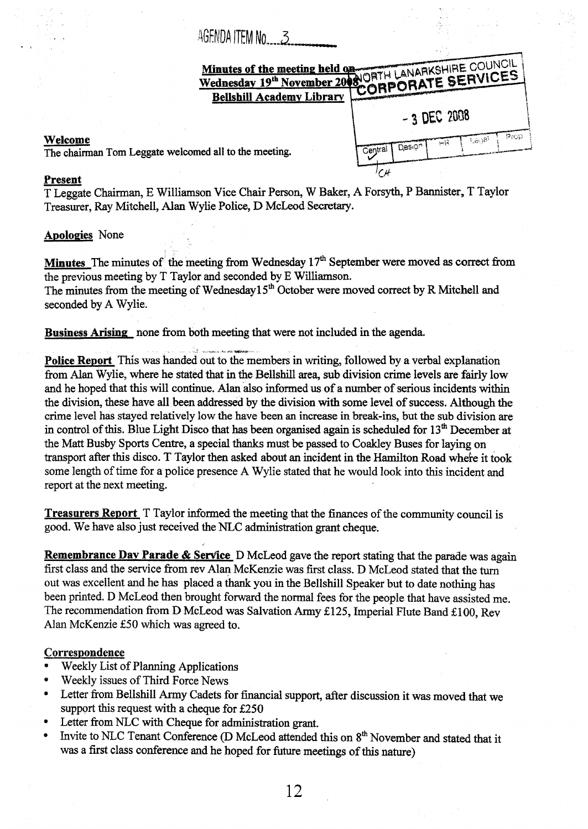# AGENDA ITEM No..... 3

|                          | Wednesday 19th November 2008 ORTH LANARKSHIRE COUNCIL |
|--------------------------|-------------------------------------------------------|
|                          |                                                       |
|                          | $-3$ DEC 2008                                         |
| omed all to the meeting. | Prop<br>1.808<br>난국<br>Design<br>Centra.              |

# **Welcome**

The chairman Tom Leggate welcomed all to the method and method and the method all to the method and the method  $\frac{1}{n}$ 

### **Present**

T Leggate Chairman, E Williamson Vice Chair Person, W Baker, **A** Forsyth, P Bannister, T Taylor Treasurer, Ray Mitchell, Alan Wylie Police, D McLeod Secretary.

## **Apologies** None

Minutes The minutes of the meeting from Wednesday 17<sup>th</sup> September were moved as correct from the previous meeting by T Taylor and seconded by E Williamson. The minutes from the meeting of Wednesday1 *5\** October were moved correct by R Mitchell and seconded by **A** Wylie.

**Business Arising** none from both meeting that were not included in the agenda.

**Police Report** This was handed out to the members in writing, followed by a verbal explanation **from** Alan Wylie, where **he** stated that in the Bellshill area, sub division crime levels are fairly low and he hoped that this will continue. Alan also informed us of a number of serious incidents within the division, these have all been addressed by the division with some level of success. Although the crime level has stayed relatively low the have been **an** increase in break-ins, but the sub division are in control of this. Blue Light Disco that **has** been organised again is scheduled for **13\*** December at the Matt **Busby Sports** Centre, a special thanks must be **passed** to Coakley Buses for laying on transport after this disco. T Taylor then asked about **an** incident in the Hamilton Road wheke it **took**  some length of time for a police presence **A** Wylie stated that he would **look** into this incident and report at the next meeting. ~ - **<sup>L</sup>***,A* **u\*w** 

**Treasurers Report** T Taylor **informed** the meeting that the finances of the **community** council is good. We have also just received the NLC administration **grant** cheque.

**Remembrance Dav Parade** & **Service D** McLeod gave the **report** stating that de parade was again first class and the service from rev Alan McKenzie was first class. D McLeod stated that the turn out was excellent and he has placed a thank you in the Bellshill Speaker but to date nothing has been printed. D McLeod then brought forward the normal fees for the people that have assisted me. The recommendation from D McLeod was Salvation Army £125, Imperial Flute Band £100, Rev Alan McKenzie 550 which was agreed to,

## **Correspondence**

- Weekly List of Planning Applications
- Weekly issues of Third Force News  $\bullet$
- Letter from Bellshill Army Cadets for financial support, after discussion it was moved that we  $\bullet$ support this request with a cheque for **E250**
- $\bullet$ Letter from NLC with Cheque for administration grant.
- $\bullet$ Invite to NLC Tenant Conference (D McLeod attended this on 8<sup>th</sup> November and stated that it was **a** first class conference and **he** hoped for future meetings of this nature)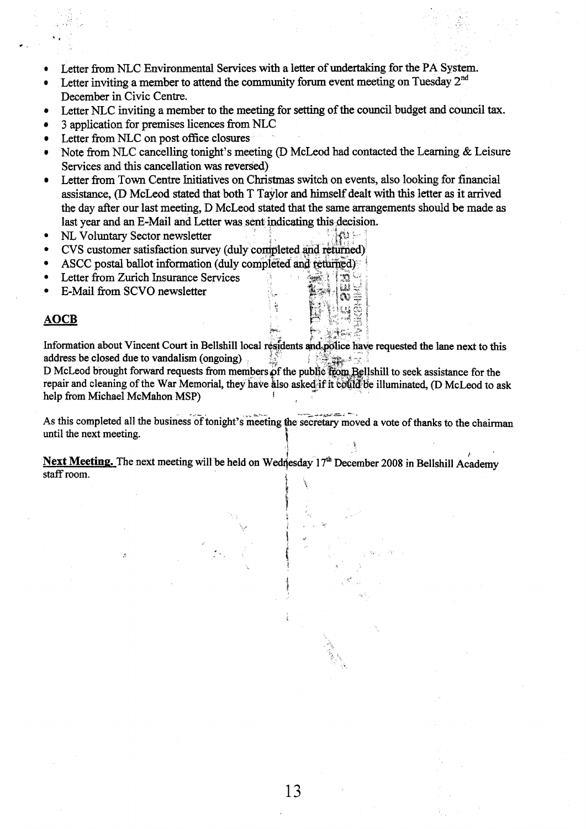- Letter from NLC Environmental Services with a letter of undertaking **for** the **PA** System.
- Letter inviting a member to attend the community forum event meeting on Tuesday **2nd**   $\bullet$ December in Civic Centre.
- Letter NLC inviting a member to the meeting for setting of the council budget and council tax.
- 3 application for premises licences from NLC
- Letter from NLC on post office closures
- Note from NLC cancelling tonight's meeting (D McLeod had contacted the Learning & Leisure Services and this cancellation **was** reversed)
- Letter fiom Town Centre Initiatives on **Christmas** switch on events, **also** looking for financial assistance, (D McLeod stated that both T Taylor **and** himself dealt with this letter **as** it arrived the day after our last meeting, D McLeod stated that the same arrangements should be made as last year and an E-Mail and Letter was sent indicating this decision.
- NL Voluntary Sector newsletter
- CVS customer satisfaction survey (duly **i**
- ASCC postal ballot information (duly completed and returned)
- **Letter** from Zurich Insurance Services
- E-Mail from SCVO newsletter

### **AOCB**

Information about Vincent Court in Bellshill local residents and police have requested the lane next to this address be closed due to vandalism (ongoing) 1. 托德·马克

D McLeod brought forward requests from members of the public from Bellshill to seek assistance for the repair and cleaning of the War Memorial, they have also asked if it could be illuminated, (D McLeod to ask help from Michael McMahon MSP)

As this completed all the business of tonight's meeting the secretary moved a vote of thanks to the chairman until the next meeting.

**P L** 

 $\mathbb{C}$ 

ka kacamatan ing Kabupatèn Kabupatèn Ka

 $\frac{1}{2}$ , and a set of  $\frac{1}{2}$ 

f

**K i** 

i

,

Next Meeting. The next meeting will be held on Wednesday 17<sup>th</sup> December 2008 in Bellshill Academy **staff** room.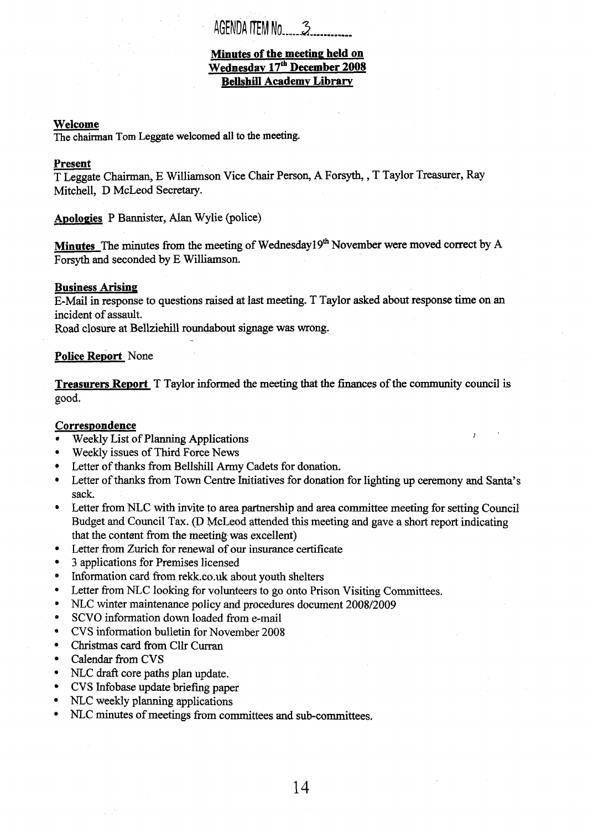# AGENDA ITEM No. 3

## **Minutes of the meeting held on Wednesdav 17& December 2008 Bellshill Academv Librarv**

#### **Welcome**

The chairman **Tom** Leggate welcomed all **to** the **meeting.** 

**Welcome**<br>The chairman Tom<br>Present<br>T Leggate Chairm<br>Mitchell, D McL T Leggate Chairman, E Williamson Vice Chair Person, A Forsyth, , T Taylor Treasurer, Ray Mitchell, D McLeod Secretary.

Apologies P Bannister, Alan Wylie (police)

Minutes The minutes from the meeting of Wednesday19<sup>th</sup> November were moved correct by A Forsyth and seconded by E Williamson.

#### **Business Arising**

E-Mail in response to questions raised at last meeting. T Taylor asked about response time on **an**  incident of assault.

Road closure at Bellziehill roundabout signage was wrong. -

#### **Police Report** None

**Treasurers Report T** Taylor informed the meeting that the finances of the community council is good.

### **Correspondence**

- **4**  Weekly List of Planning Applications
- *0*  Weekly issues of Third Force News
- *0*  Letter of thanks from Bellshill Army Cadets for donation.
- **4**  Letter of *thanks* from Town Centre Initiatives for donation for lighting up ceremony and **Santa's**  sack.
- *0*  Letter from NLC with invite to area partnership and area committee meeting for setting Council Budget and Council Tax. (D McLeod attended this meeting and gave a short report indicating that the content from the meeting was excellent)
- *0*  Letter from Zurich for renewal of our insurance certificate
- *0*  **3** applications for Premises licensed
- *0*  Information card **from** [rekk.co.uk](http://rekk.co.uk) about youth shelters
- **4**  Letter from NLC looking for volunteers to go onto Prison Visiting Committees.
- *0*  NLC winter maintenance policy and procedures document 2008/2009
- *0*  SCVO information down loaded from e-mail
- *0*  **CVS** information bulletin for November 2008
- *0*  Christmas card **from** Cllr Curran
- *0*  Calendar from CVS
- **4**  NLC draft core paths plan update.
- *0*  **CVS** Infobase update briefing paper
- **4**  NLC weekly planning applications
- **4**  NLC minutes of meetings from committees and sub-committees.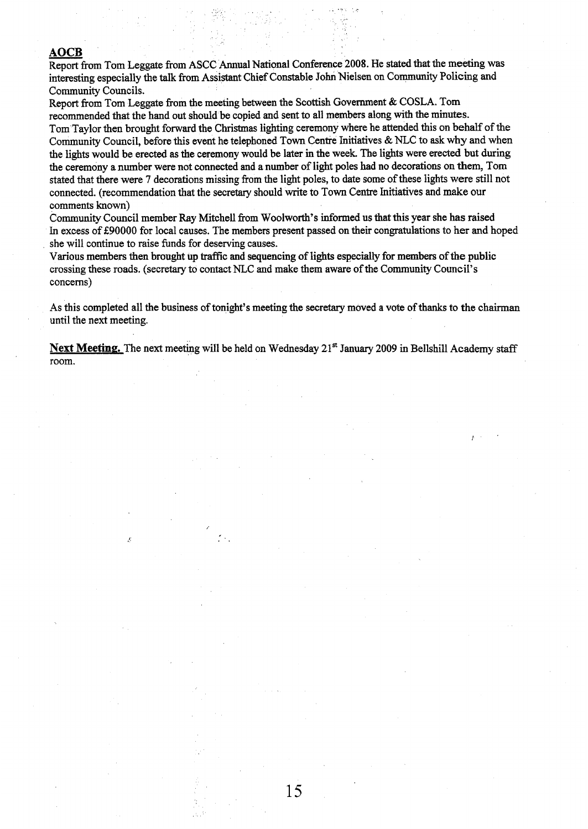**AOCB**<br>
Report from Tom Leggate from ASCC Annual National Conference 2008. He stated that the meeting was<br>
interesting especially the talk from Assistant Chief Constable John Nielsen on Community Policing and interesting especially the **talk from** Assistant Chief Constable John Nielsen on Community Policing and community Councils.

Report from Tom Leggate from the **meeting** between the Scottish Government & COSLA. Tom recommended that the hand out should be copied and sent to all members along with the minutes.

Tom Taylor then brought forward the Christmas lighting ceremony where he attended this on behalf of the Community Council, before this event he telephoned Town Centre Initiatives & NLC to **ask** why and when **the** lights would be erected **as** the ceremony would be later in the week. The lights were erected but **during**  the ceremony a number were not connected and a number of light poles had no decorations on **them,** Tom stated that there were **7** decorations missing from the light poles, to date some of these lights were still not connected. (recommendation that the secretary should write to Town Centre Initiatives and *make* **our**  comments known)

Community Council member **Ray** Mitchell from Woolworth's informed us that **this** year she has raised In excess of **E90000** for local causes. The members present passed on their congratulations to **her and** hoped she will continue to raise funds for deserving causes.

Various members then **brought up** traffic and sequencing of lights esgecially for members **of the** public crossing these roads. (secretary to contact NLC and make them aware of the Community CounciI's concerns)

**As** this completed all the business of tonight's meeting the secretary moved a vote **of** thanks to the chairman until the next meeting.

**Next Meeting.** The next meeting will be held on Wednesday 21<sup>st</sup> January 2009 in Bellshill Academy staff room.

.): ..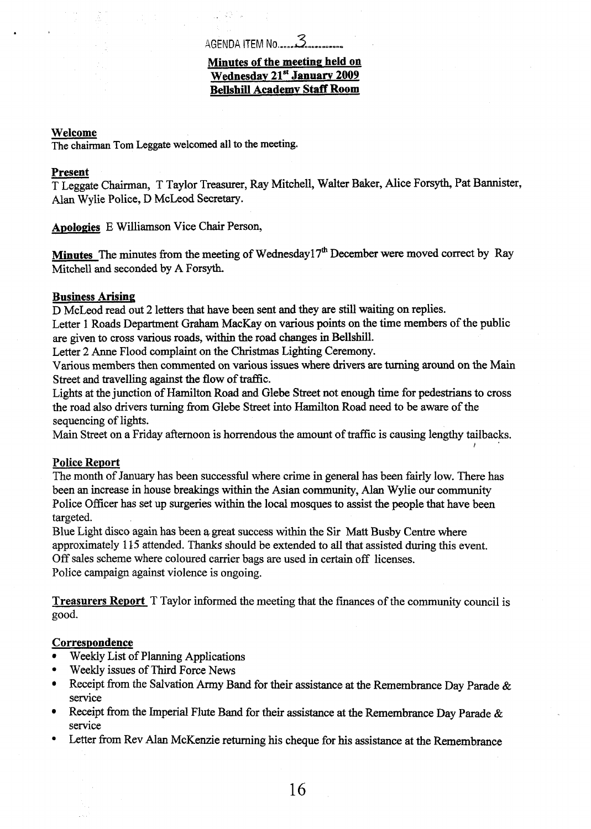# **Minutes of the meeting held on** Wednesday 21<sup>st</sup> January 2009 **Bellshill Academv Staff Room**

#### **Welcome**

The chairman **Tom** Leggate welcomed all **to the** meeting.

# **Present**

T Leggate Chairman, T Taylor Treasurer, **Ray** Mitchell, Waiter Baker, Mice Forsyth, Pat Bannister, Alan Wylie Police, D McLeod Secretary.

**Apologies** E Williamson Vice Chair Person,

**Minutes** The minutes from the meeting of Wednesday1 **7"** December were moved correct by Ray Mitchell and seconded by **A** Forsyth.

# **Business Arising**

D McLeod read out 2 letters that have been sent **and** they are still waiting on replies.

Letter 1 Roads Department **Graham** MacKay on various **points** on the time members of the public are given to cross various roads, within the road changes in Bellshill.

Letter 2 Anne Flood complaint on the Christmas Lighting Ceremony.

Various members then commented on various issues where drivers are turning **around** on the Main Street and travelling against the flow of traffic.

Lights at the junction of Hamilton Road and Glebe Street not enough time for pedestrians to cross the road also drivers turning from Glebe Street into Hamilton Road need to be aware of the sequencing of lights.

Main Street on a Friday afternoon is horrendous the amount of traffic is causing lengthy tailbacks.

/'

# **Police Reoort**

The month of **January** has been successful where crime in general has been fairly low. There has been an increase in house breakings **within** the **Asian** community, Alan Wylie our community Police Officer **has** set up surgeries within the local mosques to assist the people that have been targeted.

Blue Light disco again **has** been **a,** great success within the *Sir* Matt Busby Centre where approximately 1 **15** attended. *Thanks* should be extended to all that assisted during this event. Off sales scheme where coloured carrier bags are used in certain off licenses. Police campaign against violence is ongoing.

**Treasurers Report** T Taylor informed the meeting that the finances of the community council is good.

# Correspondence

- Weekly List of Planning Applications
- Weekly issues of Third Force News
- Receipt from the Salvation Army Band for their assistance at the Remembrance Day Parade &  $\bullet$ service
- Receipt from the Imperial Flute Band for their assistance at the Remembrance Day Parade &  $\bullet$ service
- Letter from Rev Alan McKenzie returning his cheque for his assistance at the Remembrance